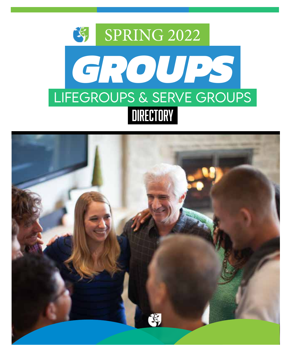

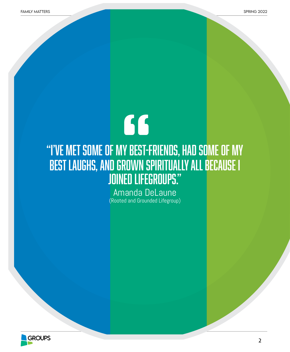# 66 "I've met some of my best-friends, had some of my best laughs, and grown spiritually all because I joined lifegroups."

Amanda DeLaune (Rooted and Grounded Lifegroup)

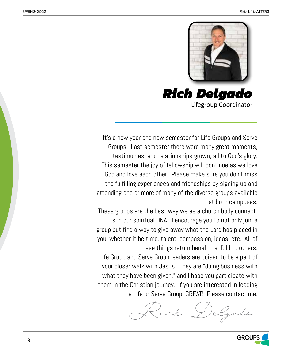

*Rich Delgado* Lifegroup Coordinator

It's a new year and new semester for Life Groups and Serve Groups! Last semester there were many great moments, testimonies, and relationships grown, all to God's glory. This semester the joy of fellowship will continue as we love God and love each other. Please make sure you don't miss the fulfilling experiences and friendships by signing up and attending one or more of many of the diverse groups available at both campuses.

These groups are the best way we as a church body connect. It's in our spiritual DNA. I encourage you to not only join a group but find a way to give away what the Lord has placed in you, whether it be time, talent, compassion, ideas, etc. All of these things return benefit tenfold to others. Life Group and Serve Group leaders are poised to be a part of your closer walk with Jesus. They are "doing business with what they have been given," and I hope you participate with them in the Christian journey. If you are interested in leading a Life or Serve Group, GREAT! Please contact me.

*Rich Delgado*

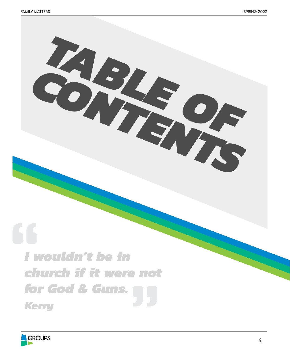# *I wouldn't be in church if it were not for God & Guns. Kerry*

*TABLE OF*

*CONTENTS*

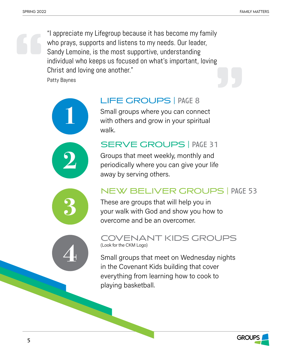"I appreciate my Lifegroup because it has become my family who prays, supports and listens to my needs. Our leader, Sandy Lemoine, is the most supportive, understanding individual who keeps us focused on what's important, loving Christ and loving one another."

Patty Baynes





# LIFE GROUPS | page 8

Small groups where you can connect with others and grow in your spiritual walk.

# SERVE GROUPS | PAGE 31

Groups that meet weekly, monthly and periodically where you can give your life away by serving others.



# NEW BELIVER GROUPS | page 53

These are groups that will help you in your walk with God and show you how to overcome and be an overcomer.



# COVENANT KIDS GROUPS (Look for the CKM Logo)

Small groups that meet on Wednesday nights in the Covenant Kids building that cover everything from learning how to cook to playing basketball.

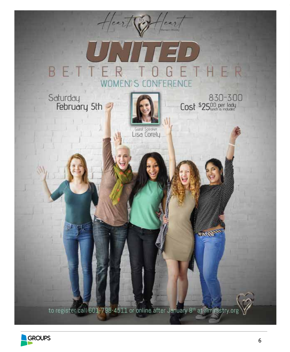

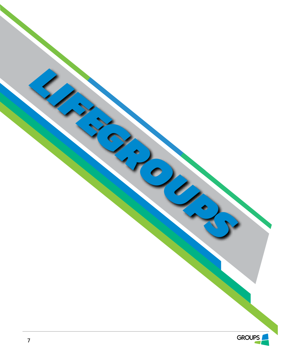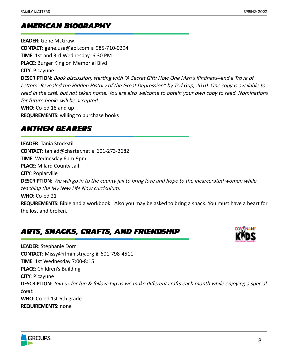# *AMERICAN BIOGRAPHY*

**LEADER**: Gene McGraw **CONTACT**: gene.usa@aol.com ■ 985-710-0294 **TIME**: 1st and 3rd Wednesday 6:30 PM **PLACE**: Burger King on Memorial Blvd **CITY**: Picayune **DESCRIPTION**: Book discussion, starting with "A Secret Gift: How One Man's Kindness--and a Trove of Letters--Revealed the Hidden History of the Great Depression" by Ted Gup, 2010. One copy is available to read in the café, but not taken home. You are also welcome to obtain your own copy to read. Nominations for future books will be accepted. **WHO**: Co-ed 18 and up

**REQUIREMENTS**: willing to purchase books

# *ANTHEM BEARERS*

**LEADER**: Tania Stockstil CONTACT: taniad@charter.net **■ 601-273-2682 TIME**: Wednesday 6pm-9pm **PLACE**: Milard County Jail **CITY**: Poplarville **DESCRIPTION**: We will go in to the county jail to bring love and hope to the incarcerated women while teaching the My New Life Now curriculum. **WHO**: Co-ed 21+ **REQUIREMENTS**: Bible and a workbook. Also you may be asked to bring a snack. You must have a heart for the lost and broken.

# *ARTS, SNACKS, CRAFTS, AND FRIENDSHIP*



**LEADER**: Stephanie Dorr **CONTACT**: Missy@rlministry.org ■ 601-798-4511 **TIME**: 1st Wednesday 7:00-8:15 **PLACE**: Children's Building **CITY**: Picayune **DESCRIPTION**: Join us for fun & fellowship as we make different crafts each month while enjoying a special treat. **WHO**: Co-ed 1st-6th grade **REQUIREMENTS**: none

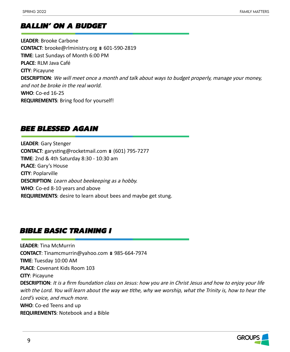# *BALLIN' ON A BUDGET*

**LEADER**: Brooke Carbone **CONTACT**: brooke@rlministry.org ■ 601-590-2819 **TIME**: Last Sundays of Month 6:00 PM **PLACE**: RLM Java Café **CITY**: Picayune **DESCRIPTION**: We will meet once a month and talk about ways to budget properly, manage your money, and not be broke in the real world. **WHO**: Co-ed 16-25 **REQUIREMENTS**: Bring food for yourself!

# *BEE BLESSED AGAIN*

**LEADER**: Gary Stenger **CONTACT**: garysting@rocketmail.com ■ (601) 795-7277 **TIME**: 2nd & 4th Saturday 8:30 - 10:30 am **PLACE**: Gary's House **CITY**: Poplarville **DESCRIPTION**: Learn about beekeeping as a hobby. **WHO**: Co-ed 8-10 years and above **REQUIREMENTS**: desire to learn about bees and maybe get stung.

# *BIBLE BASIC TRAINING I*

**LEADER**: Tina McMurrin **CONTACT:** Tinamcmurrin@yahoo.com ■ 985-664-7974 **TIME**: Tuesday 10:00 AM **PLACE**: Covenant Kids Room 103 **CITY**: Picayune **DESCRIPTION**: It is a firm foundation class on Jesus: how you are in Christ Jesus and how to enjoy your life with the Lord. You will learn about the way we tithe, why we worship, what the Trinity is, how to hear the Lord's voice, and much more. **WHO**: Co-ed Teens and up **REQUIREMENTS**: Notebook and a Bible

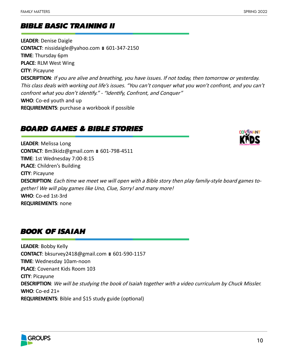# *BIBLE BASIC TRAINING II*

**LEADER**: Denise Daigle **CONTACT**: nissidaigle@yahoo.com ■ 601-347-2150 **TIME**: Thursday 6pm **PLACE**: RLM West Wing **CITY**: Picayune **DESCRIPTION**: If you are alive and breathing, you have issues. If not today, then tomorrow or yesterday. This class deals with working out life's issues. "You can't conquer what you won't confront, and you can't confront what you don't identify." - "Identify, Confront, and Conquer" **WHO**: Co-ed youth and up **REQUIREMENTS**: purchase a workbook if possible

# *BOARD GAMES & BIBLE STORIES*



**LEADER**: Melissa Long **CONTACT**: Bm3kidz@gmail.com ■ 601-798-4511 **TIME**: 1st Wednesday 7:00-8:15 **PLACE**: Children's Building **CITY**: Picayune **DESCRIPTION**: Each time we meet we will open with a Bible story then play family-style board games together! We will play games like Uno, Clue, Sorry! and many more! **WHO**: Co-ed 1st-3rd **REQUIREMENTS**: none

# *BOOK OF ISAIAH*

**LEADER**: Bobby Kelly **CONTACT**: bksurvey2418@gmail.com ■ 601-590-1157 **TIME**: Wednesday 10am-noon **PLACE**: Covenant Kids Room 103 **CITY**: Picayune **DESCRIPTION**: We will be studying the book of Isaiah together with a video curriculum by Chuck Missler. **WHO**: Co-ed 21+ **REQUIREMENTS**: Bible and \$15 study guide (optional)

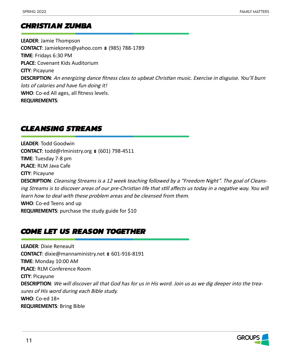# *CHRISTIAN ZUMBA*

**LEADER**: Jamie Thompson **CONTACT**: Jamiekoren@yahoo.com ■ (985) 788-1789 **TIME**: Fridays 6:30 PM **PLACE**: Covenant Kids Auditorium **CITY**: Picayune **DESCRIPTION**: An energizing dance fitness class to upbeat Christian music. Exercise in disguise. You'll burn lots of calories and have fun doing it! **WHO**: Co-ed All ages, all fitness levels. **REQUIREMENTS**:

# *CLEANSING STREAMS*

**LEADER**: Todd Goodwin **CONTACT:** todd@rlministry.org  $(601)$  798-4511 **TIME**: Tuesday 7-8 pm **PLACE**: RLM Java Cafe **CITY**: Picayune **DESCRIPTION**: Cleansing Streams is a 12 week teaching followed by a "Freedom Night". The goal of Cleansing Streams is to discover areas of our pre-Christian life that still affects us today in a negative way. You will learn how to deal with these problem areas and be cleansed from them. **WHO**: Co-ed Teens and up

**REQUIREMENTS**: purchase the study guide for \$10

# *COME LET US REASON TOGETHER*

**LEADER**: Dixie Reneault **CONTACT**: dixie@mannaministry.net ■ 601-916-8191 **TIME**: Monday 10:00 AM **PLACE**: RLM Conference Room **CITY**: Picayune **DESCRIPTION**: We will discover all that God has for us in His word. Join us as we dig deeper into the treasures of His word during each Bible study. **WHO**: Co-ed 18+ **REQUIREMENTS**: Bring Bible

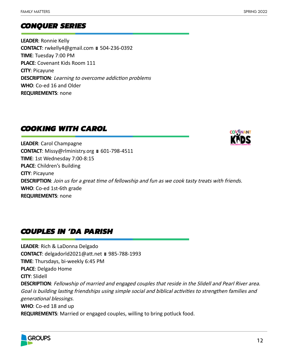# *CONQUER SERIES*

**LEADER**: Ronnie Kelly **CONTACT**: rwkelly4@gmail.com ■ 504-236-0392 **TIME**: Tuesday 7:00 PM **PLACE**: Covenant Kids Room 111 **CITY**: Picayune **DESCRIPTION**: Learning to overcome addiction problems **WHO**: Co-ed 16 and Older **REQUIREMENTS**: none

# *COOKING WITH CAROL*



**LEADER**: Carol Champagne **CONTACT**: Missy@rlministry.org ■ 601-798-4511 **TIME**: 1st Wednesday 7:00-8:15 **PLACE**: Children's Building **CITY**: Picayune **DESCRIPTION**: Join us for a great time of fellowship and fun as we cook tasty treats with friends. **WHO**: Co-ed 1st-6th grade **REQUIREMENTS**: none

# *COUPLES IN 'DA PARISH*

**LEADER**: Rich & LaDonna Delgado **CONTACT**: delgadorld2021@att.net 985-788-1993 **TIME**: Thursdays, bi-weekly 6:45 PM **PLACE**: Delgado Home **CITY**: Slidell **DESCRIPTION**: Fellowship of married and engaged couples that reside in the Slidell and Pearl River area. Goal is building lasting friendships using simple social and biblical activities to strengthen families and generational blessings. **WHO**: Co-ed 18 and up **REQUIREMENTS**: Married or engaged couples, willing to bring potluck food.

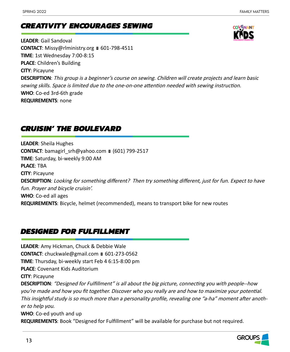# *CREATIVITY ENCOURAGES SEWING*

**LEADER**: Gail Sandoval **CONTACT**: Missy@rlministry.org ■ 601-798-4511 **TIME**: 1st Wednesday 7:00-8:15 **PLACE**: Children's Building **CITY**: Picayune **DESCRIPTION**: This group is a beginner's course on sewing. Children will create projects and learn basic sewing skills. Space is limited due to the one-on-one attention needed with sewing instruction. **WHO**: Co-ed 3rd-6th grade **REQUIREMENTS**: none

# *CRUISIN' THE BOULEVARD*

**LEADER**: Sheila Hughes **CONTACT:** bamagirl\_srh@yahoo.com  $(601)$  799-2517 **TIME**: Saturday, bi-weekly 9:00 AM **PLACE**: TBA **CITY**: Picayune **DESCRIPTION**: Looking for something different? Then try something different, just for fun. Expect to have fun. Prayer and bicycle cruisin'. **WHO**: Co-ed all ages **REQUIREMENTS**: Bicycle, helmet (recommended), means to transport bike for new routes

# *DESIGNED FOR FULFILLMENT*

**LEADER**: Amy Hickman, Chuck & Debbie Wale **CONTACT**: chuckwale@gmail.com ■ 601-273-0562 **TIME**: Thursday, bi-weekly start Feb 4 6:15-8:00 pm **PLACE**: Covenant Kids Auditorium **CITY**: Picayune **DESCRIPTION**: "Designed for Fulfillment" is all about the big picture, connecting you with people--how you're made and how you fit together. Discover who you really are and how to maximize your potential. This insightful study is so much more than a personality profile, revealing one "a-ha" moment after another to help you. **WHO**: Co-ed youth and up **REQUIREMENTS**: Book "Designed for Fulfillment" will be available for purchase but not required.

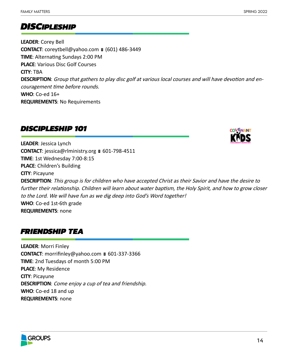# *DISCIPLESHIP*

**LEADER**: Corey Bell **CONTACT**: coreytbell@yahoo.com ■ (601) 486-3449 **TIME**: Alternating Sundays 2:00 PM **PLACE**: Various Disc Golf Courses **CITY**: TBA **DESCRIPTION**: Group that gathers to play disc golf at various local courses and will have devotion and encouragement time before rounds. **WHO**: Co-ed 16+ **REQUIREMENTS**: No Requirements

# *DISCIPLESHIP 101*



**LEADER**: Jessica Lynch **CONTACT:** jessica@rlministry.org ■ 601-798-4511 **TIME**: 1st Wednesday 7:00-8:15 **PLACE**: Children's Building **CITY**: Picayune **DESCRIPTION**: This group is for children who have accepted Christ as their Savior and have the desire to further their relationship. Children will learn about water baptism, the Holy Spirit, and how to grow closer to the Lord. We will have fun as we dig deep into God's Word together! **WHO**: Co-ed 1st-6th grade **REQUIREMENTS**: none

# *FRIENDSHIP TEA*

**LEADER**: Morri Finley **CONTACT**: morrifinley@yahoo.com ■ 601-337-3366 **TIME**: 2nd Tuesdays of month 5:00 PM **PLACE**: My Residence **CITY**: Picayune **DESCRIPTION**: Come enjoy a cup of tea and friendship. **WHO**: Co-ed 18 and up **REQUIREMENTS**: none

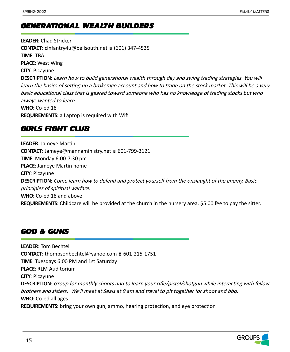# *GENERATIONAL WEALTH BUILDERS*

**LEADER**: Chad Stricker **CONTACT**: cinfantry4u@bellsouth.net ■ (601) 347-4535 **TIME**: TBA **PLACE**: West Wing **CITY**: Picayune **DESCRIPTION**: Learn how to build generational wealth through day and swing trading strategies. You will learn the basics of setting up a brokerage account and how to trade on the stock market. This will be a very basic educational class that is geared toward someone who has no knowledge of trading stocks but who always wanted to learn. **WHO**: Co-ed 18+ **REQUIREMENTS**: a Laptop is required with Wifi

# *GIRLS FIGHT CLUB*

**LEADER**: Jameye Martin **CONTACT**: Jameye@mannaministry.net ■ 601-799-3121 **TIME**: Monday 6:00-7:30 pm **PLACE**: Jameye Martin home **CITY**: Picayune **DESCRIPTION**: Come learn how to defend and protect yourself from the onslaught of the enemy. Basic principles of spiritual warfare. **WHO**: Co-ed 18 and above **REQUIREMENTS**: Childcare will be provided at the church in the nursery area. \$5.00 fee to pay the sitter.

# *GOD & GUNS*

**LEADER**: Tom Bechtel **CONTACT:** thompsonbechtel@yahoo.com ■ 601-215-1751 **TIME**: Tuesdays 6:00 PM and 1st Saturday **PLACE**: RLM Auditorium **CITY**: Picayune **DESCRIPTION**: Group for monthly shoots and to learn your rifle/pistol/shotgun while interacting with fellow brothers and sisters. We'll meet at Seals at 9 am and travel to pit together for shoot and bbq. **WHO**: Co-ed all ages **REQUIREMENTS**: bring your own gun, ammo, hearing protection, and eye protection

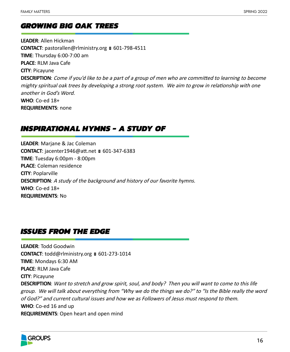# *GROWING BIG OAK TREES*

**LEADER**: Allen Hickman **CONTACT**: pastorallen@rlministry.org ■ 601-798-4511 **TIME**: Thursday 6:00-7:00 am **PLACE**: RLM Java Cafe **CITY**: Picayune **DESCRIPTION**: Come if you'd like to be a part of a group of men who are committed to learning to become mighty spiritual oak trees by developing a strong root system. We aim to grow in relationship with one another in God's Word. **WHO**: Co-ed 18+ **REQUIREMENTS**: none

# *INSPIRATIONAL HYMNS - A STUDY OF*

**LEADER**: Marjane & Jac Coleman **CONTACT**: jacenter1946@att.net ■ 601-347-6383 **TIME**: Tuesday 6:00pm - 8:00pm **PLACE**: Coleman residence **CITY**: Poplarville **DESCRIPTION**: A study of the background and history of our favorite hymns. **WHO**: Co-ed 18+ **REQUIREMENTS**: No

# *ISSUES FROM THE EDGE*

**LEADER**: Todd Goodwin CONTACT: todd@rlministry.org **■ 601-273-1014 TIME**: Mondays 6:30 AM **PLACE**: RLM Java Cafe **CITY**: Picayune **DESCRIPTION**: Want to stretch and grow spirit, soul, and body? Then you will want to come to this life group. We will talk about everything from "Why we do the things we do?" to "Is the Bible really the word of God?" and current cultural issues and how we as Followers of Jesus must respond to them. **WHO**: Co-ed 16 and up **REQUIREMENTS**: Open heart and open mind

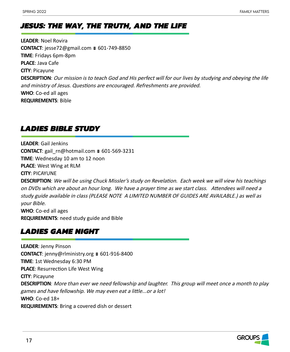# *JESUS: THE WAY, THE TRUTH, AND THE LIFE*

**LEADER**: Noel Rovira **CONTACT**: jesse72@gmail.com ■ 601-749-8850 **TIME**: Fridays 6pm-8pm **PLACE**: Java Cafe **CITY**: Picayune **DESCRIPTION**: Our mission is to teach God and His perfect will for our lives by studying and obeying the life and ministry of Jesus. Questions are encouraged. Refreshments are provided. **WHO**: Co-ed all ages **REQUIREMENTS**: Bible

# *LADIES BIBLE STUDY*

**LEADER**: Gail Jenkins **CONTACT**: gail\_rn@hotmail.com ■ 601-569-3231 **TIME**: Wednesday 10 am to 12 noon **PLACE**: West Wing at RLM **CITY**: PICAYUNE

**DESCRIPTION**: We will be using Chuck Missler's study on Revelation. Each week we will view his teachings on DVDs which are about an hour long. We have a prayer time as we start class. Attendees will need a study guide available in class (PLEASE NOTE A LIMITED NUMBER OF GUIDES ARE AVAILABLE.) as well as your Bible. **WHO**: Co-ed all ages **REQUIREMENTS**: need study guide and Bible

# *LADIES GAME NIGHT*

**LEADER**: Jenny Pinson **CONTACT**: jenny@rlministry.org ■ 601-916-8400 **TIME**: 1st Wednesday 6:30 PM **PLACE**: Resurrection Life West Wing **CITY**: Picayune **DESCRIPTION**: More than ever we need fellowship and laughter. This group will meet once a month to play games and have fellowship. We may even eat a little...or a lot! **WHO**: Co-ed 18+ **REQUIREMENTS**: Bring a covered dish or dessert

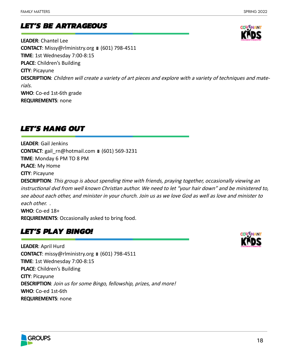# *LET'S BE ARTRAGEOUS*

**LEADER**: Chantel Lee **CONTACT**: Missy@rlministry.org ■ (601) 798-4511 **TIME**: 1st Wednesday 7:00-8:15 **PLACE**: Children's Building **CITY**: Picayune **DESCRIPTION**: Children will create a variety of art pieces and explore with a variety of techniques and materials. **WHO**: Co-ed 1st-6th grade **REQUIREMENTS**: none

# *LET'S HANG OUT*

**LEADER**: Gail Jenkins **CONTACT**: gail\_rn@hotmail.com ■ (601) 569-3231 **TIME**: Monday 6 PM TO 8 PM **PLACE**: My Home **CITY**: Picayune

**DESCRIPTION**: This group is about spending time with friends, praying together, occasionally viewing an instructional dvd from well known Christian author. We need to let "your hair down" and be ministered to, see about each other, and minister in your church. Join us as we love God as well as love and minister to each other. . **WHO**: Co-ed 18+

**REQUIREMENTS**: Occasionally asked to bring food.

# *LET'S PLAY BINGO!*

**LEADER**: April Hurd **CONTACT**: missy@rlministry.org ■ (601) 798-4511 **TIME**: 1st Wednesday 7:00-8:15 **PLACE**: Children's Building **CITY**: Picayune **DESCRIPTION**: Join us for some Bingo, fellowship, prizes, and more! **WHO**: Co-ed 1st-6th **REQUIREMENTS**: none



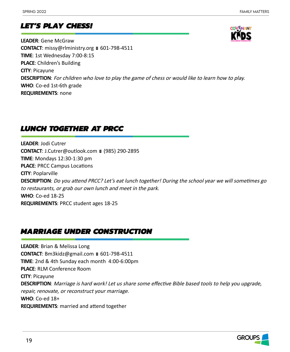# *LET'S PLAY CHESS!*



**LEADER**: Gene McGraw **CONTACT**: missy@rlministry.org ■ 601-798-4511 **TIME**: 1st Wednesday 7:00-8:15 **PLACE**: Children's Building **CITY**: Picayune **DESCRIPTION**: For children who love to play the game of chess or would like to learn how to play. **WHO**: Co-ed 1st-6th grade **REQUIREMENTS**: none

# *LUNCH TOGETHER AT PRCC*

**LEADER**: Jodi Cutrer **CONTACT**: J.Cutrer@outlook.com **■ (985) 290-2895 TIME**: Mondays 12:30-1:30 pm **PLACE**: PRCC Campus Locations **CITY**: Poplarville **DESCRIPTION**: Do you attend PRCC? Let's eat lunch together! During the school year we will sometimes go to restaurants, or grab our own lunch and meet in the park. **WHO**: Co-ed 18-25 **REQUIREMENTS**: PRCC student ages 18-25

# *MARRIAGE UNDER CONSTRUCTION*

**LEADER**: Brian & Melissa Long **CONTACT**: Bm3kidz@gmail.com ■ 601-798-4511 **TIME**: 2nd & 4th Sunday each month 4:00-6:00pm **PLACE**: RLM Conference Room **CITY**: Picayune **DESCRIPTION**: Marriage is hard work! Let us share some effective Bible based tools to help you upgrade, repair, renovate, or reconstruct your marriage. **WHO**: Co-ed 18+ **REQUIREMENTS**: married and attend together

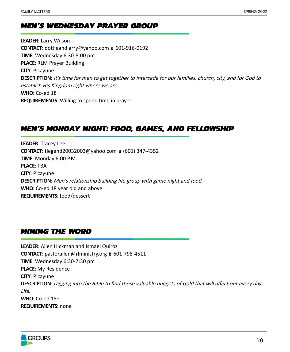# *MEN'S WEDNESDAY PRAYER GROUP*

**LEADER**: Larry Wilson **CONTACT**: dottieandlarry@yahoo.com ■ 601-916-0192 **TIME**: Wednesday 6:30-8:00 pm **PLACE**: RLM Prayer Building **CITY**: Picayune **DESCRIPTION**: It's time for men to get together to intercede for our families, church, city, and for God to establish His Kingdom right where we are. **WHO**: Co-ed 18+ **REQUIREMENTS**: Willing to spend time in prayer

# *MEN'S MONDAY NIGHT: FOOD, GAMES, AND FELLOWSHIP*

**LEADER**: Tracey Lee **CONTACT**: tlegend20032003@yahoo.com ■ (601) 347-4352 **TIME**: Monday 6:00 P.M. **PLACE**: TBA **CITY**: Picayune **DESCRIPTION**: Men's relationship building life group with game night and food. **WHO**: Co-ed 18 year old and above **REQUIREMENTS**: food/dessert

# *MINING THE WORD*

**LEADER**: Allen Hickman and Ismael Quiroz **CONTACT**: pastorallen@rlministry.org ■ 601-798-4511 **TIME**: Wednesday 6:30-7:30 pm **PLACE**: My Residence **CITY**: Picayune **DESCRIPTION**: Digging into the Bible to find those valuable nuggets of Gold that will affect our every day Life. **WHO**: Co-ed 18+ **REQUIREMENTS**: none

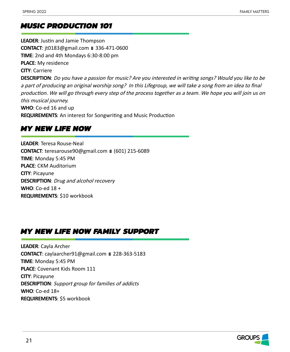# *MUSIC PRODUCTION 101*

**LEADER**: Justin and Jamie Thompson **CONTACT**: jt0183@gmail.com ■ 336-471-0600 **TIME**: 2nd and 4th Mondays 6:30-8:00 pm **PLACE**: My residence **CITY**: Carriere **DESCRIPTION**: Do you have a passion for music? Are you interested in writing songs? Would you like to be a part of producing an original worship song? In this Lifegroup, we will take a song from an idea to final production. We will go through every step of the process together as a team. We hope you will join us on this musical journey. **WHO**: Co-ed 16 and up **REQUIREMENTS**: An interest for Songwriting and Music Production

# *MY NEW LIFE NOW*

**LEADER**: Teresa Rouse-Neal **CONTACT**: teresarouse90@gmail.com ■ (601) 215-6089 **TIME**: Monday 5:45 PM **PLACE**: CKM Auditorium **CITY**: Picayune **DESCRIPTION**: Drug and alcohol recovery **WHO**: Co-ed 18 + **REQUIREMENTS**: \$10 workbook

# *MY NEW LIFE NOW FAMILY SUPPORT*

**LEADER**: Cayla Archer **CONTACT**: caylaarcher91@gmail.com 228-363-5183 **TIME**: Monday 5:45 PM **PLACE**: Covenant Kids Room 111 **CITY**: Picayune **DESCRIPTION**: Support group for families of addicts **WHO**: Co-ed 18+ **REQUIREMENTS**: \$5 workbook

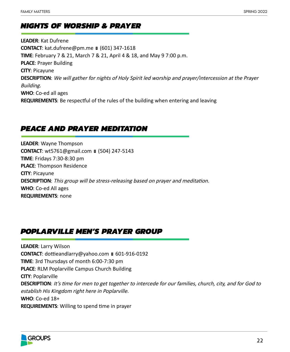# *NIGHTS OF WORSHIP & PRAYER*

**LEADER**: Kat Dufrene **CONTACT**: kat.dufrene@pm.me (601) 347-1618 **TIME**: February 7 & 21, March 7 & 21, April 4 & 18, and May 9 7:00 p.m. **PLACE**: Prayer Building **CITY**: Picayune **DESCRIPTION**: We will gather for nights of Holy Spirit led worship and prayer/intercession at the Prayer Building. **WHO**: Co-ed all ages **REQUIREMENTS**: Be respectful of the rules of the building when entering and leaving

# *PEACE AND PRAYER MEDITATION*

**LEADER**: Wayne Thompson **CONTACT**: wt5761@gmail.com ■ (504) 247-5143 **TIME**: Fridays 7:30-8:30 pm **PLACE**: Thompson Residence **CITY**: Picayune **DESCRIPTION**: This group will be stress-releasing based on prayer and meditation. **WHO**: Co-ed All ages **REQUIREMENTS**: none

# *POPLARVILLE MEN'S PRAYER GROUP*

**LEADER**: Larry Wilson **CONTACT**: dottieandlarry@yahoo.com ■ 601-916-0192 **TIME**: 3rd Thursdays of month 6:00-7:30 pm **PLACE**: RLM Poplarville Campus Church Building **CITY**: Poplarville **DESCRIPTION**: It's time for men to get together to intercede for our families, church, city, and for God to establish His Kingdom right here in Poplarville. **WHO**: Co-ed 18+ **REQUIREMENTS**: Willing to spend time in prayer

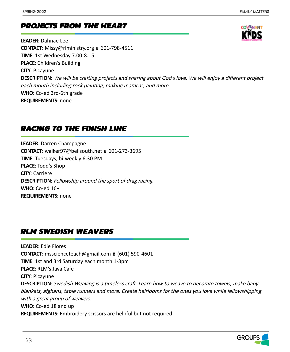# *PROJECTS FROM THE HEART*

**LEADER**: Dahnae Lee **CONTACT**: Missy@rlministry.org ■ 601-798-4511 **TIME**: 1st Wednesday 7:00-8:15 **PLACE**: Children's Building **CITY**: Picayune **DESCRIPTION**: We will be crafting projects and sharing about God's love. We will enjoy a different project each month including rock painting, making maracas, and more. **WHO**: Co-ed 3rd-6th grade **REQUIREMENTS**: none

# *RACING TO THE FINISH LINE*

**LEADER**: Darren Champagne **CONTACT**: walker97@bellsouth.net 601-273-3695 **TIME**: Tuesdays, bi-weekly 6:30 PM **PLACE**: Todd's Shop **CITY**: Carriere **DESCRIPTION**: Fellowship around the sport of drag racing. **WHO**: Co-ed 16+ **REQUIREMENTS**: none

# *RLM SWEDISH WEAVERS*

**LEADER**: Edie Flores **CONTACT**: msscienceteach@gmail.com ■ (601) 590-4601 **TIME**: 1st and 3rd Saturday each month 1-3pm **PLACE**: RLM's Java Cafe **CITY**: Picayune **DESCRIPTION**: Swedish Weaving is a timeless craft. Learn how to weave to decorate towels, make baby blankets, afghans, table runners and more. Create heirlooms for the ones you love while fellowshipping with a great group of weavers. **WHO**: Co-ed 18 and up **REQUIREMENTS**: Embroidery scissors are helpful but not required.



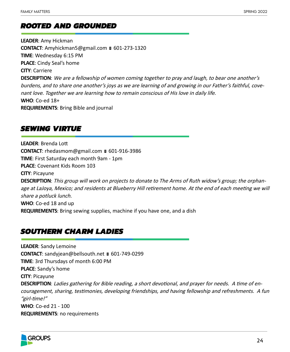# *ROOTED AND GROUNDED*

**LEADER**: Amy Hickman **CONTACT**: Amyhickman5@gmail.com ■ 601-273-1320 **TIME**: Wednesday 6:15 PM **PLACE**: Cindy Seal's home **CITY**: Carriere **DESCRIPTION**: We are a fellowship of women coming together to pray and laugh, to bear one another's burdens, and to share one another's joys as we are learning of and growing in our Father's faithful, covenant love. Together we are learning how to remain conscious of His love in daily life. **WHO**: Co-ed 18+ **REQUIREMENTS**: Bring Bible and journal

# *SEWING VIRTUE*

**LEADER**: Brenda Lott **CONTACT:** rhedasmom@gmail.com ■ 601-916-3986 **TIME**: First Saturday each month 9am - 1pm **PLACE**: Covenant Kids Room 103 **CITY**: Picayune **DESCRIPTION**: This group will work on projects to donate to The Arms of Ruth widow's group; the orphanage at LaJoya, Mexico; and residents at Blueberry Hill retirement home. At the end of each meeting we will share a potluck lunch. **WHO**: Co-ed 18 and up **REQUIREMENTS**: Bring sewing supplies, machine if you have one, and a dish

# *SOUTHERN CHARM LADIES*

**LEADER**: Sandy Lemoine **CONTACT**: sandyjean@bellsouth.net ■ 601-749-0299 **TIME**: 3rd Thursdays of month 6:00 PM **PLACE**: Sandy's home **CITY**: Picayune **DESCRIPTION**: Ladies gathering for Bible reading, a short devotional, and prayer for needs. A time of encouragement, sharing, testimonies, developing friendships, and having fellowship and refreshments. A fun "girl-time!" **WHO**: Co-ed 21 - 100 **REQUIREMENTS**: no requirements

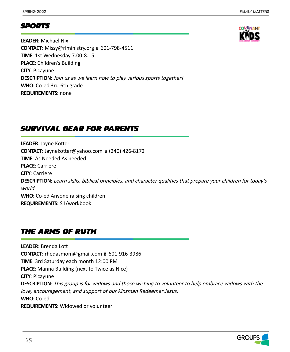# *SPORTS*

**LEADER**: Michael Nix **CONTACT**: Missy@rlministry.org ■ 601-798-4511 **TIME**: 1st Wednesday 7:00-8:15 **PLACE**: Children's Building **CITY**: Picayune **DESCRIPTION**: Join us as we learn how to play various sports together! **WHO**: Co-ed 3rd-6th grade **REQUIREMENTS**: none

# *SURVIVAL GEAR FOR PARENTS*

**LEADER**: Jayne Kotter **CONTACT**: Jaynekotter@yahoo.com ■ (240) 426-8172 **TIME**: As Needed As needed **PLACE**: Carriere **CITY**: Carriere **DESCRIPTION**: Learn skills, biblical principles, and character qualities that prepare your children for today's world. **WHO**: Co-ed Anyone raising children **REQUIREMENTS**: \$1/workbook

# *THE ARMS OF RUTH*

**LEADER**: Brenda Lott **CONTACT**: rhedasmom@gmail.com ■ 601-916-3986 **TIME**: 3rd Saturday each month 12:00 PM **PLACE**: Manna Building (next to Twice as Nice) **CITY**: Picayune **DESCRIPTION**: This group is for widows and those wishing to volunteer to help embrace widows with the love, encouragement, and support of our Kinsman Redeemer Jesus. **WHO**: Co-ed - **REQUIREMENTS**: Widowed or volunteer

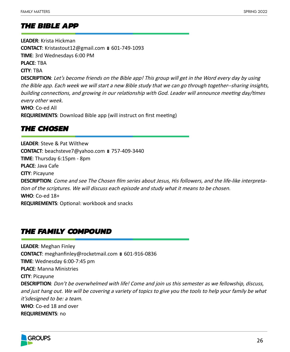# *THE BIBLE APP*

**LEADER**: Krista Hickman **CONTACT**: Kristastout12@gmail.com ■ 601-749-1093 **TIME**: 3rd Wednesdays 6:00 PM **PLACE**: TBA **CITY**: TBA **DESCRIPTION**: Let's become friends on the Bible app! This group will get in the Word every day by using the Bible app. Each week we will start a new Bible study that we can go through together--sharing insights, building connections, and growing in our relationship with God. Leader will announce meeting day/times every other week. **WHO**: Co-ed All **REQUIREMENTS**: Download Bible app (will instruct on first meeting)

# *THE CHOSEN*

**LEADER**: Steve & Pat Wilthew **CONTACT**: beachsteve7@yahoo.com 757-409-3440 **TIME**: Thursday 6:15pm - 8pm **PLACE**: Java Cafe **CITY**: Picayune **DESCRIPTION**: Come and see The Chosen film series about Jesus, His followers, and the life-like interpretation of the scriptures. We will discuss each episode and study what it means to be chosen. **WHO**: Co-ed 18+ **REQUIREMENTS**: Optional: workbook and snacks

# *THE FAMILY COMPOUND*

**LEADER**: Meghan Finley **CONTACT**: meghanfinley@rocketmail.com ■ 601-916-0836 **TIME**: Wednesday 6:00-7:45 pm **PLACE**: Manna Ministries **CITY**: Picayune **DESCRIPTION**: Don't be overwhelmed with life! Come and join us this semester as we fellowship, discuss, and just hang out. We will be covering a variety of topics to give you the tools to help your family be what it'sdesigned to be: a team. **WHO**: Co-ed 18 and over **REQUIREMENTS**: no

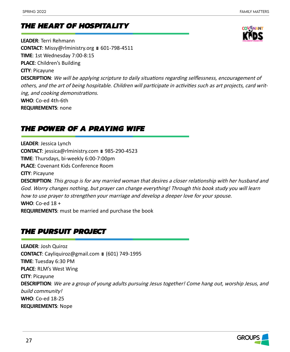# *THE HEART OF HOSPITALITY*

**LEADER**: Terri Rehmann **CONTACT**: Missy@rlministry.org ■ 601-798-4511 **TIME**: 1st Wednesday 7:00-8:15 **PLACE**: Children's Building **CITY**: Picayune **DESCRIPTION**: We will be applying scripture to daily situations regarding selflessness, encouragement of others, and the art of being hospitable. Children will participate in activities such as art projects, card writing, and cooking demonstrations. **WHO**: Co-ed 4th-6th

**REQUIREMENTS**: none

# *THE POWER OF A PRAYING WIFE*

**LEADER**: Jessica Lynch **CONTACT**: jessica@rlministry.com ■ 985-290-4523 **TIME**: Thursdays, bi-weekly 6:00-7:00pm **PLACE**: Covenant Kids Conference Room **CITY**: Picayune **DESCRIPTION**: This group is for any married woman that desires a closer relationship with her husband and God. Worry changes nothing, but prayer can change everything! Through this book study you will learn how to use prayer to strengthen your marriage and develop a deeper love for your spouse. **WHO**: Co-ed 18 + **REQUIREMENTS**: must be married and purchase the book

# *THE PURSUIT PROJECT*

**LEADER**: Josh Quiroz **CONTACT**: Cayliquiroz@gmail.com ■ (601) 749-1995 **TIME**: Tuesday 6:30 PM **PLACE**: RLM's West Wing **CITY**: Picayune **DESCRIPTION**: We are a group of young adults pursuing Jesus together! Come hang out, worship Jesus, and build community! **WHO**: Co-ed 18-25 **REQUIREMENTS**: Nope

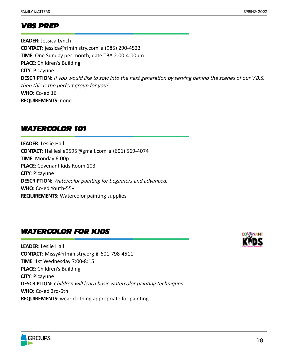# *VBS PREP*

**LEADER**: Jessica Lynch **CONTACT**: jessica@rlministry.com ■ (985) 290-4523 **TIME**: One Sunday per month, date TBA 2:00-4:00pm **PLACE**: Children's Building **CITY**: Picayune **DESCRIPTION**: If you would like to sow into the next generation by serving behind the scenes of our V.B.S. then this is the perfect group for you! **WHO**: Co-ed 16+ **REQUIREMENTS**: none

# *WATERCOLOR 101*

**LEADER**: Leslie Hall **CONTACT**: Hallleslie9595@gmail.com ■ (601) 569-4074 **TIME**: Monday 6:00p **PLACE**: Covenant Kids Room 103 **CITY**: Picayune **DESCRIPTION**: Watercolor painting for beginners and advanced. **WHO**: Co-ed Youth-55+ **REQUIREMENTS**: Watercolor painting supplies

# *WATERCOLOR FOR KIDS*

**LEADER**: Leslie Hall CONTACT: Missy@rlministry.org ■ 601-798-4511 **TIME**: 1st Wednesday 7:00-8:15 **PLACE**: Children's Building **CITY**: Picayune **DESCRIPTION**: Children will learn basic watercolor painting techniques. **WHO**: Co-ed 3rd-6th **REQUIREMENTS**: wear clothing appropriate for painting



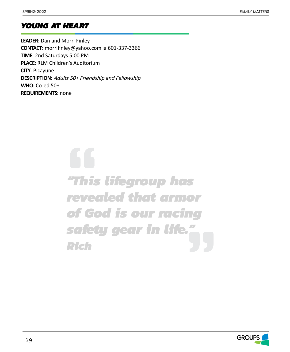# *YOUNG AT HEART*

**LEADER**: Dan and Morri Finley CONTACT: morrifinley@yahoo.com ■ 601-337-3366 **TIME**: 2nd Saturdays 5:00 PM **PLACE**: RLM Children's Auditorium **CITY**: Picayune **DESCRIPTION**: Adults 50+ Friendship and Fellowship **WHO**: Co-ed 50+ **REQUIREMENTS**: none

> $\sqrt{2}$ *"This lifegroup has revealed that armor of God is our racing safety gear in life." Rich*

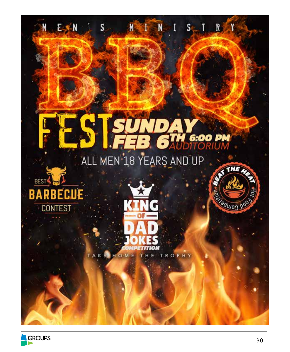

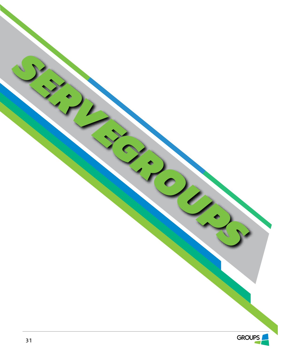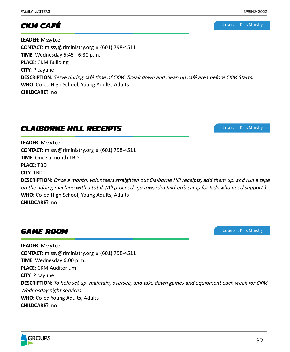# *CKM CAFÉ*

Covenant Kids Ministry

**LEADER**: Missy Lee **CONTACT:** missy@rlministry.org ■ (601) 798-4511 **TIME**: Wednesday 5:45 - 6:30 p.m. **PLACE**: CKM Building **CITY**: Picayune **DESCRIPTION**: Serve during café time of CKM. Break down and clean up café area before CKM Starts. **WHO**: Co-ed High School, Young Adults, Adults **CHILDCARE?**: no

# *CLAIBORNE HILL RECEIPTS*

Covenant Kids Ministry

Covenant Kids Ministry

**LEADER**: Missy Lee **CONTACT:** missy@rlministry.org ■ (601) 798-4511 **TIME**: Once a month TBD **PLACE**: TBD **CITY**: TBD

**DESCRIPTION**: Once a month, volunteers straighten out Claiborne Hill receipts, add them up, and run a tape on the adding machine with a total. (All proceeds go towards children's camp for kids who need support.) **WHO**: Co-ed High School, Young Adults, Adults **CHILDCARE?**: no

# *GAME ROOM*

**LEADER**: Missy Lee **CONTACT**: missy@rlministry.org ■ (601) 798-4511 **TIME**: Wednesday 6:00 p.m. **PLACE**: CKM Auditorium **CITY**: Picayune **DESCRIPTION**: To help set up, maintain, oversee, and take down games and equipment each week for CKM Wednesday night services. **WHO**: Co-ed Young Adults, Adults **CHILDCARE?**: no

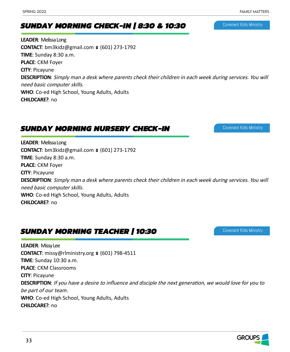# *SUNDAY MORNING CHECK-IN | 8:30 & 10:30*

**LEADER**: Melissa Long **CONTACT**: bm3kidz@gmail.com ■ (601) 273-1792 **TIME**: Sunday 8:30 a.m. **PLACE**: CKM Foyer **CITY**: Picayune **DESCRIPTION**: Simply man a desk where parents check their children in each week during services. You will need basic computer skills. **WHO**: Co-ed High School, Young Adults, Adults **CHILDCARE?**: no

# *SUNDAY MORNING NURSERY CHECK-IN*

**LEADER**: Melissa Long **CONTACT**: bm3kidz@gmail.com ■ (601) 273-1792 **TIME**: Sunday 8:30 a.m. **PLACE**: CKM Foyer **CITY**: Picayune **DESCRIPTION**: Simply man a desk where parents check their children in each week during services. You will need basic computer skills. **WHO**: Co-ed High School, Young Adults, Adults **CHILDCARE?**: no

# *SUNDAY MORNING TEACHER | 10:30*

**LEADER**: Missy Lee **CONTACT**: missy@rlministry.org ■ (601) 798-4511 **TIME**: Sunday 10:30 a.m. **PLACE**: CKM Classrooms **CITY**: Picayune **DESCRIPTION**: If you have a desire to influence and disciple the next generation, we would love for you to be part of our team. **WHO**: Co-ed High School, Young Adults, Adults **CHILDCARE?**: no



Covenant Kids Ministry

Covenant Kids Ministry

Covenant Kids Ministry

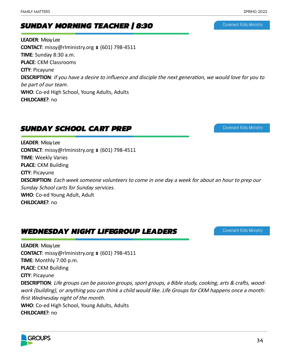# *SUNDAY MORNING TEACHER | 8:30*

**LEADER**: Missy Lee **CONTACT:** missy@rlministry.org ■ (601) 798-4511 **TIME**: Sunday 8:30 a.m. **PLACE**: CKM Classrooms **CITY**: Picayune **DESCRIPTION**: If you have a desire to influence and disciple the next generation, we would love for you to be part of our team. **WHO**: Co-ed High School, Young Adults, Adults **CHILDCARE?**: no

# *SUNDAY SCHOOL CART PREP*

**LEADER**: Missy Lee **CONTACT:** missy@rlministry.org  $(601)$  798-4511 **TIME**: Weekly Varies **PLACE**: CKM Building **CITY**: Picayune **DESCRIPTION**: Each week someone volunteers to come in one day a week for about an hour to prep our Sunday School carts for Sunday services. **WHO**: Co-ed Young Adult, Adult **CHILDCARE?**: no

# *WEDNESDAY NIGHT LIFEGROUP LEADERS*

**LEADER**: Missy Lee **CONTACT:** missy@rlministry.org ■ (601) 798-4511 **TIME**: Monthly 7:00 p.m. **PLACE**: CKM Building **CITY**: Picayune **DESCRIPTION**: Life groups can be passion groups, sport groups, a Bible study, cooking, arts & crafts, woodwork (building), or anything you can think a child would like. Life Groups for CKM happens once a month: first Wednesday night of the month. **WHO**: Co-ed High School, Young Adults, Adults





## Covenant Kids Ministry

Covenant Kids Ministry

Covenant Kids Ministry

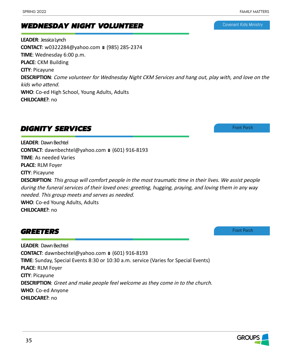# *WEDNESDAY NIGHT VOLUNTEER*

**LEADER**: Jessica Lynch **CONTACT**: w0322284@yahoo.com ■ (985) 285-2374 **TIME**: Wednesday 6:00 p.m. **PLACE**: CKM Building **CITY**: Picayune **DESCRIPTION**: Come volunteer for Wednesday Night CKM Services and hang out, play with, and love on the kids who attend. **WHO**: Co-ed High School, Young Adults, Adults **CHILDCARE?**: no

# *DIGNITY SERVICES*

**LEADER**: Dawn Bechtel **CONTACT**: dawnbechtel@yahoo.com ■ (601) 916-8193 **TIME**: As needed Varies **PLACE**: RLM Foyer **CITY**: Picayune **DESCRIPTION**: This group will comfort people in the most traumatic time in their lives. We assist people during the funeral services of their loved ones: greeting, hugging, praying, and loving them in any way needed. This group meets and serves as needed. **WHO**: Co-ed Young Adults, Adults

**CHILDCARE?**: no

# *GREETERS*

**LEADER**: Dawn Bechtel **CONTACT**: dawnbechtel@yahoo.com ■ (601) 916-8193 **TIME**: Sunday, Special Events 8:30 or 10:30 a.m. service (Varies for Special Events) **PLACE**: RLM Foyer **CITY**: Picayune **DESCRIPTION**: Greet and make people feel welcome as they come in to the church. **WHO**: Co-ed Anyone **CHILDCARE?**: no

Covenant Kids Ministry

Front Porch

Front Porch

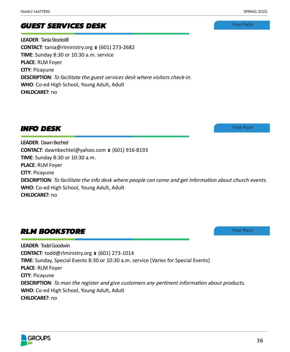# *GUEST SERVICES DESK*

**LEADER**: Tania Stockstill **CONTACT**: tania@rlministry.org ■ (601) 273-2682 **TIME**: Sunday 8:30 or 10:30 a.m. service **PLACE**: RLM Foyer **CITY**: Picayune **DESCRIPTION**: To facilitate the guest services desk where visitors check-in. **WHO**: Co-ed High School, Young Adult, Adult **CHILDCARE?**: no

# *INFO DESK*

**LEADER**: Dawn Bechtel **CONTACT**: dawnbechtel@yahoo.com ■ (601) 916-8193 **TIME**: Sunday 8:30 or 10:30 a.m. **PLACE**: RLM Foyer **CITY**: Picayune **DESCRIPTION**: To facilitate the info desk where people can come and get information about church events. **WHO**: Co-ed High School, Young Adult, Adult **CHILDCARE?**: no

# *RLM BOOKSTORE*

**LEADER**: Todd Goodwin **CONTACT**: todd@rlministry.org ■ (601) 273-1014 **TIME**: Sunday, Special Events 8:30 or 10:30 a.m. service (Varies for Special Events) **PLACE**: RLM Foyer **CITY**: Picayune **DESCRIPTION**: To man the register and give customers any pertinent information about products. **WHO**: Co-ed High School, Young Adult, Adult **CHILDCARE?**: no





Front Porch

Front Porch

Front Porch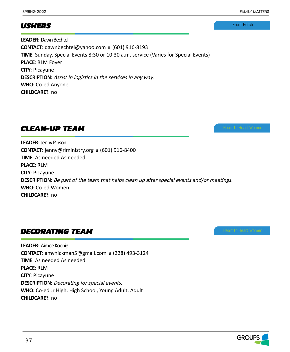Front Porch

## *USHERS*

**LEADER**: Dawn Bechtel **CONTACT**: dawnbechtel@yahoo.com ■ (601) 916-8193 **TIME**: Sunday, Special Events 8:30 or 10:30 a.m. service (Varies for Special Events) **PLACE**: RLM Foyer **CITY**: Picayune **DESCRIPTION**: Assist in logistics in the services in any way. **WHO**: Co-ed Anyone **CHILDCARE?**: no

# *CLEAN-UP TEAM*

**LEADER**: Jenny Pinson **CONTACT**: jenny@rlministry.org ■ (601) 916-8400 **TIME**: As needed As needed **PLACE**: RLM **CITY**: Picayune **DESCRIPTION**: Be part of the team that helps clean up after special events and/or meetings. **WHO**: Co-ed Women **CHILDCARE?**: no

# *DECORATING TEAM*

**LEADER**: Aimee Koenig **CONTACT**: amyhickman5@gmail.com ■ (228) 493-3124 **TIME**: As needed As needed **PLACE**: RLM **CITY**: Picayune **DESCRIPTION**: Decorating for special events. **WHO**: Co-ed Jr High, High School, Young Adult, Adult **CHILDCARE?**: no

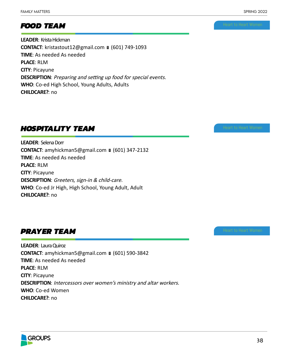# *FOOD TEAM*

**LEADER**: Krista Hickman **CONTACT**: kristastout12@gmail.com ■ (601) 749-1093 **TIME**: As needed As needed **PLACE**: RLM **CITY**: Picayune **DESCRIPTION**: Preparing and setting up food for special events. **WHO**: Co-ed High School, Young Adults, Adults **CHILDCARE?**: no

# *HOSPITALITY TEAM*

**LEADER**: Selena Dorr **CONTACT**: amyhickman5@gmail.com ■ (601) 347-2132 **TIME**: As needed As needed **PLACE**: RLM **CITY**: Picayune **DESCRIPTION**: Greeters, sign-in & child-care. **WHO**: Co-ed Jr High, High School, Young Adult, Adult **CHILDCARE?**: no

# *PRAYER TEAM*

**LEADER**: Laura Quiroz **CONTACT**: amyhickman5@gmail.com ■ (601) 590-3842 **TIME**: As needed As needed **PLACE**: RLM **CITY**: Picayune **DESCRIPTION**: Intercessors over women's ministry and altar workers. **WHO**: Co-ed Women **CHILDCARE?**: no

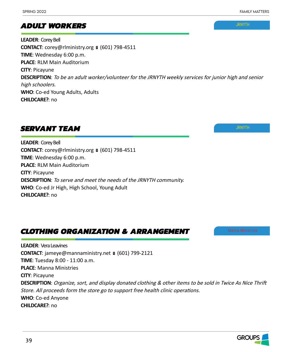**JRNYTH** 

# *ADULT WORKERS*

**LEADER**: Corey Bell **CONTACT**: corey@rlministry.org ■ (601) 798-4511 **TIME**: Wednesday 6:00 p.m. **PLACE**: RLM Main Auditorium **CITY**: Picayune **DESCRIPTION**: To be an adult worker/volunteer for the JRNYTH weekly services for junior high and senior high schoolers. **WHO**: Co-ed Young Adults, Adults **CHILDCARE?**: no

# *SERVANT TEAM*

**LEADER**: Corey Bell **CONTACT:** corey@rlministry.org ■ (601) 798-4511 **TIME**: Wednesday 6:00 p.m. **PLACE**: RLM Main Auditorium **CITY**: Picayune **DESCRIPTION**: To serve and meet the needs of the JRNYTH community. **WHO**: Co-ed Jr High, High School, Young Adult **CHILDCARE?**: no

*CLOTHING ORGANIZATION & ARRANGEMENT*

# **JRNYTH**

**LEADER**: Vera Leavines **CONTACT**: jameye@mannaministry.net ■ (601) 799-2121 **TIME**: Tuesday 8:00 - 11:00 a.m. **PLACE**: Manna Ministries **CITY**: Picayune **DESCRIPTION**: Organize, sort, and display donated clothing & other items to be sold in Twice As Nice Thrift Store. All proceeds form the store go to support free health clinic operations. **WHO**: Co-ed Anyone **CHILDCARE?**: no

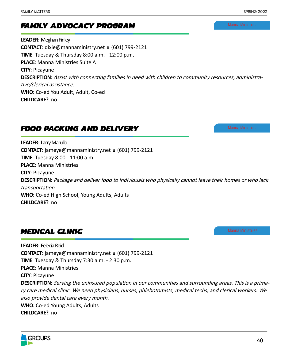# *FAMILY ADVOCACY PROGRAM*

**LEADER**: Meghan Finley **CONTACT**: dixie@mannaministry.net ■ (601) 799-2121 **TIME**: Tuesday & Thursday 8:00 a.m. - 12:00 p.m. **PLACE**: Manna Ministries Suite A **CITY**: Picayune **DESCRIPTION**: Assist with connecting families in need with children to community resources, administrative/clerical assistance. **WHO**: Co-ed You Adult, Adult, Co-ed **CHILDCARE?**: no

# *FOOD PACKING AND DELIVERY*

**LEADER**: Larry Marullo **CONTACT**: jameye@mannaministry.net ■ (601) 799-2121 **TIME**: Tuesday 8:00 - 11:00 a.m. **PLACE**: Manna Ministries **CITY**: Picayune **DESCRIPTION**: Package and deliver food to individuals who physically cannot leave their homes or who lack transportation. **WHO**: Co-ed High School, Young Adults, Adults **CHILDCARE?**: no

# *MEDICAL CLINIC*

**LEADER**: Felecia Reid **CONTACT**: jameye@mannaministry.net ■ (601) 799-2121 **TIME**: Tuesday & Thursday 7:30 a.m. - 2:30 p.m. **PLACE**: Manna Ministries **CITY**: Picayune **DESCRIPTION**: Serving the uninsured population in our communities and surrounding areas. This is a primary care medical clinic. We need physicians, nurses, phlebotomists, medical techs, and clerical workers. We also provide dental care every month. **WHO**: Co-ed Young Adults, Adults **CHILDCARE?**: no

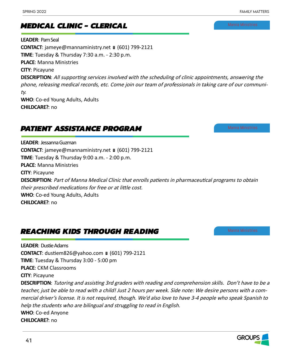## Spring 2022 FAMILY MATTER

# *MEDICAL CLINIC - CLERICAL*

**LEADER**: Pam Seal **CONTACT**: jameye@mannaministry.net ■ (601) 799-2121 **TIME**: Tuesday & Thursday 7:30 a.m. - 2:30 p.m. **PLACE**: Manna Ministries **CITY**: Picayune **DESCRIPTION**: All supporting services involved with the scheduling of clinic appointments, answering the phone, releasing medical records, etc. Come join our team of professionals in taking care of our community. **WHO**: Co-ed Young Adults, Adults **CHILDCARE?**: no

# *PATIENT ASSISTANCE PROGRAM*

**LEADER**: Jessanna Guzman **CONTACT**: jameye@mannaministry.net ■ (601) 799-2121 **TIME**: Tuesday & Thursday 9:00 a.m. - 2:00 p.m. **PLACE**: Manna Ministries **CITY**: Picayune **DESCRIPTION**: Part of Manna Medical Clinic that enrolls patients in pharmaceutical programs to obtain their prescribed medications for free or at little cost. **WHO**: Co-ed Young Adults, Adults **CHILDCARE?**: no

# *REACHING KIDS THROUGH READING*

**LEADER**: Dustie Adams **CONTACT**: dustiem826@yahoo.com ■ (601) 799-2121 **TIME**: Tuesday & Thursday 3:00 - 5:00 pm **PLACE**: CKM Classrooms **CITY**: Picayune **DESCRIPTION**: Tutoring and assisting 3rd graders with reading and comprehension skills. Don't have to be a teacher, just be able to read with a child! Just 2 hours per week. Side note: We desire persons with a commercial driver's license. It is not required, though. We'd also love to have 3-4 people who speak Spanish to help the students who are bilingual and struggling to read in English. **WHO**: Co-ed Anyone **CHILDCARE?**: no

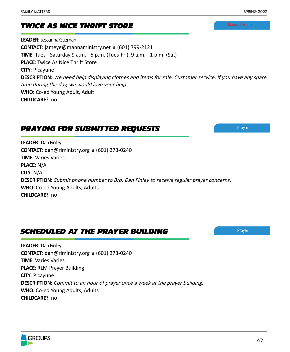# *TWICE AS NICE THRIFT STORE*

**LEADER**: Jessanna Guzman **CONTACT**: jameye@mannaministry.net ■ (601) 799-2121 **TIME**: Tues - Saturday 9 a.m. - 5 p.m. (Tues-Fri), 9 a.m. - 1 p.m. (Sat) **PLACE**: Twice As Nice Thrift Store **CITY**: Picayune **DESCRIPTION**: We need help displaying clothes and items for sale. Customer service. If you have any spare time during the day, we would love your help. **WHO**: Co-ed Young Adult, Adult **CHILDCARE?**: no

# *PRAYING FOR SUBMITTED REQUESTS*

**LEADER**: Dan Finley **CONTACT**: dan@rlministry.org ■ (601) 273-0240 **TIME**: Varies Varies **PLACE**: N/A **CITY**: N/A **DESCRIPTION**: Submit phone number to Bro. Dan Finley to receive regular prayer concerns. **WHO**: Co-ed Young Adults, Adults **CHILDCARE?**: no

# *SCHEDULED AT THE PRAYER BUILDING*

**LEADER**: Dan Finley **CONTACT**: dan@rlministry.org ■ (601) 273-0240 **TIME**: Varies Varies **PLACE**: RLM Prayer Building **CITY**: Picayune **DESCRIPTION**: Commit to an hour of prayer once a week at the prayer building. **WHO**: Co-ed Young Adults, Adults **CHILDCARE?**: no



Prayer



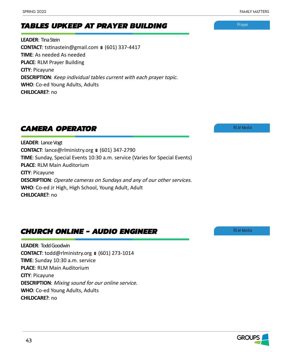# *TABLES UPKEEP AT PRAYER BUILDING*

**LEADER**: Tina Stein CONTACT: tstinastein@gmail.com ■ (601) 337-4417 **TIME**: As needed As needed **PLACE**: RLM Prayer Building **CITY**: Picayune **DESCRIPTION**: Keep individual tables current with each prayer topic. **WHO**: Co-ed Young Adults, Adults **CHILDCARE?**: no

# *CAMERA OPERATOR*

**LEADER**: Lance Vogt **CONTACT**: lance@rlministry.org ■ (601) 347-2790 **TIME**: Sunday, Special Events 10:30 a.m. service (Varies for Special Events) **PLACE**: RLM Main Auditorium **CITY**: Picayune **DESCRIPTION**: Operate cameras on Sundays and any of our other services. **WHO**: Co-ed Jr High, High School, Young Adult, Adult **CHILDCARE?**: no

# *CHURCH ONLINE - AUDIO ENGINEER*

**LEADER**: Todd Goodwin **CONTACT**: todd@rlministry.org ■ (601) 273-1014 **TIME**: Sunday 10:30 a.m. service **PLACE**: RLM Main Auditorium **CITY**: Picayune **DESCRIPTION**: Mixing sound for our online service. **WHO**: Co-ed Young Adults, Adults **CHILDCARE?**: no

Prayer

RLM Media

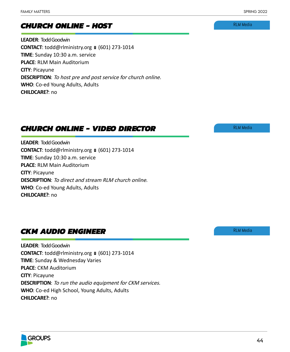RLM Media

# *CHURCH ONLINE - HOST*

**LEADER**: Todd Goodwin **CONTACT**: todd@rlministry.org ■ (601) 273-1014 **TIME**: Sunday 10:30 a.m. service **PLACE**: RLM Main Auditorium **CITY**: Picayune **DESCRIPTION**: To host pre and post service for church online. **WHO**: Co-ed Young Adults, Adults **CHILDCARE?**: no

# *CHURCH ONLINE - VIDEO DIRECTOR*

**LEADER**: Todd Goodwin **CONTACT**: todd@rlministry.org ■ (601) 273-1014 **TIME**: Sunday 10:30 a.m. service **PLACE**: RLM Main Auditorium **CITY**: Picayune **DESCRIPTION**: To direct and stream RLM church online. **WHO**: Co-ed Young Adults, Adults **CHILDCARE?**: no

# *CKM AUDIO ENGINEER*

**LEADER**: Todd Goodwin **CONTACT**: todd@rlministry.org ■ (601) 273-1014 **TIME**: Sunday & Wednesday Varies **PLACE**: CKM Auditorium **CITY**: Picayune **DESCRIPTION**: To run the audio equipment for CKM services. **WHO**: Co-ed High School, Young Adults, Adults **CHILDCARE?**: no



RLM Media

**GROUPS** 44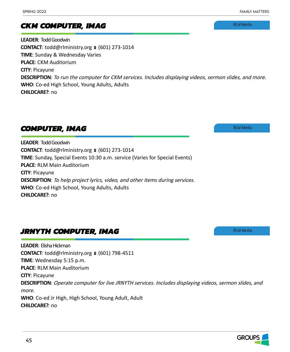**LEADER**: Todd Goodwin **CONTACT**: todd@rlministry.org ■ (601) 273-1014 **TIME**: Sunday & Wednesday Varies **PLACE**: CKM Auditorium **CITY**: Picayune **DESCRIPTION**: To run the computer for CKM services. Includes displaying videos, sermon slides, and more. **WHO**: Co-ed High School, Young Adults, Adults **CHILDCARE?**: no

# *COMPUTER, IMAG*

*CKM COMPUTER, IMAG*

**LEADER**: Todd Goodwin **CONTACT**: todd@rlministry.org ■ (601) 273-1014 **TIME**: Sunday, Special Events 10:30 a.m. service (Varies for Special Events) **PLACE**: RLM Main Auditorium **CITY**: Picayune **DESCRIPTION**: To help project lyrics, video, and other items during services. **WHO**: Co-ed High School, Young Adults, Adults **CHILDCARE?**: no

# *JRNYTH COMPUTER, IMAG*

**LEADER**: Elisha Hickman **CONTACT**: todd@rlministry.org ■ (601) 798-4511 **TIME**: Wednesday 5:15 p.m. **PLACE**: RLM Main Auditorium **CITY**: Picayune **DESCRIPTION**: Operate computer for live JRNYTH services. Includes displaying videos, sermon slides, and more. **WHO**: Co-ed Jr High, High School, Young Adult, Adult **CHILDCARE?**: no

RLM Media

RLM Media

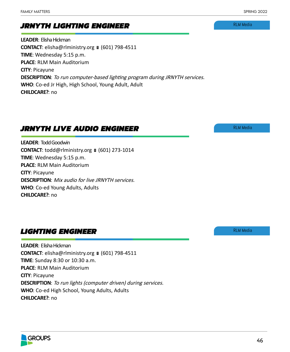# *JRNYTH LIGHTING ENGINEER*

**LEADER**: Elisha Hickman **CONTACT**: elisha@rlministry.org ■ (601) 798-4511 **TIME**: Wednesday 5:15 p.m. **PLACE**: RLM Main Auditorium **CITY**: Picayune **DESCRIPTION**: To run computer-based lighting program during JRNYTH services. **WHO**: Co-ed Jr High, High School, Young Adult, Adult **CHILDCARE?**: no

# *JRNYTH LIVE AUDIO ENGINEER*

**LEADER**: Todd Goodwin **CONTACT**: todd@rlministry.org ■ (601) 273-1014 **TIME**: Wednesday 5:15 p.m. **PLACE**: RLM Main Auditorium **CITY**: Picayune **DESCRIPTION**: Mix audio for live JRNYTH services. **WHO**: Co-ed Young Adults, Adults **CHILDCARE?**: no

# *LIGHTING ENGINEER*

**LEADER**: Elisha Hickman **CONTACT**: elisha@rlministry.org ■ (601) 798-4511 **TIME**: Sunday 8:30 or 10:30 a.m. **PLACE**: RLM Main Auditorium **CITY**: Picayune **DESCRIPTION**: To run lights (computer driven) during services. **WHO**: Co-ed High School, Young Adults, Adults **CHILDCARE?**: no

RLM Media

RLM Media

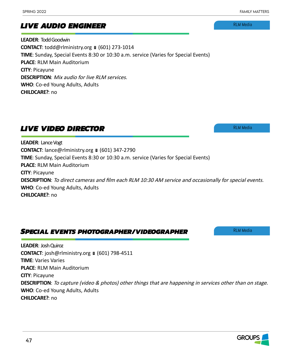# *LIVE AUDIO ENGINEER*

**LEADER**: Todd Goodwin **CONTACT**: todd@rlministry.org ■ (601) 273-1014 **TIME**: Sunday, Special Events 8:30 or 10:30 a.m. service (Varies for Special Events) **PLACE**: RLM Main Auditorium **CITY**: Picayune **DESCRIPTION**: Mix audio for live RLM services. **WHO**: Co-ed Young Adults, Adults **CHILDCARE?**: no

# *LIVE VIDEO DIRECTOR*

**LEADER**: Lance Vogt **CONTACT**: lance@rlministry.org ■ (601) 347-2790 **TIME**: Sunday, Special Events 8:30 or 10:30 a.m. service (Varies for Special Events) **PLACE**: RLM Main Auditorium **CITY**: Picayune **DESCRIPTION**: To direct cameras and film each RLM 10:30 AM service and occasionally for special events. **WHO**: Co-ed Young Adults, Adults **CHILDCARE?**: no

# *SPECIAL EVENTS PHOTOGRAPHER/VIDEOGRAPHER*

**LEADER**: Josh Quiroz **CONTACT**: josh@rlministry.org ■ (601) 798-4511 **TIME**: Varies Varies **PLACE**: RLM Main Auditorium **CITY**: Picayune **DESCRIPTION**: To capture (video & photos) other things that are happening in services other than on stage. **WHO**: Co-ed Young Adults, Adults **CHILDCARE?**: no

RLM Media

RLM Media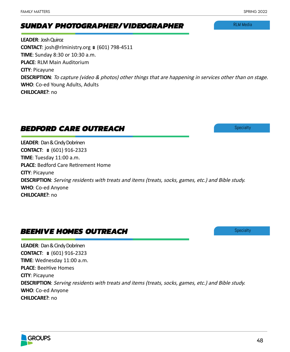# *SUNDAY PHOTOGRAPHER/VIDEOGRAPHER*

**LEADER**: Josh Quiroz **CONTACT**: josh@rlministry.org ■ (601) 798-4511 **TIME**: Sunday 8:30 or 10:30 a.m. **PLACE**: RLM Main Auditorium **CITY**: Picayune **DESCRIPTION**: To capture (video & photos) other things that are happening in services other than on stage. **WHO**: Co-ed Young Adults, Adults **CHILDCARE?**: no

# *BEDFORD CARE OUTREACH*

**LEADER**: Dan & Cindy Dobrinen **CONTACT:** ■ (601) 916-2323 **TIME**: Tuesday 11:00 a.m. **PLACE**: Bedford Care Retirement Home **CITY**: Picayune **DESCRIPTION**: Serving residents with treats and items (treats, socks, games, etc.) and Bible study. **WHO**: Co-ed Anyone **CHILDCARE?**: no

# *BEEHIVE HOMES OUTREACH*

**LEADER**: Dan & Cindy Dobrinen **CONTACT:** ■ (601) 916-2323 **TIME**: Wednesday 11:00 a.m. **PLACE**: BeeHive Homes **CITY**: Picayune **DESCRIPTION**: Serving residents with treats and items (treats, socks, games, etc.) and Bible study. **WHO**: Co-ed Anyone **CHILDCARE?**: no

RLM Media

**Specialty** 

**Specialty**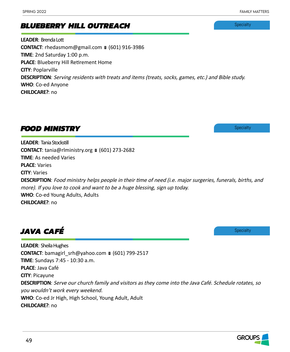*BLUEBERRY HILL OUTREACH*

**LEADER**: Brenda Lott **CONTACT**: rhedasmom@gmail.com ■ (601) 916-3986 **TIME**: 2nd Saturday 1:00 p.m. **PLACE**: Blueberry Hill Retirement Home **CITY**: Poplarville **DESCRIPTION**: Serving residents with treats and items (treats, socks, games, etc.) and Bible study. **WHO**: Co-ed Anyone **CHILDCARE?**: no

*FOOD MINISTRY*

**LEADER**: Tania Stockstill **CONTACT**: tania@rlministry.org ■ (601) 273-2682 **TIME**: As needed Varies **PLACE**: Varies **CITY**: Varies **DESCRIPTION**: Food ministry helps people in their time of need (i.e. major surgeries, funerals, births, and more). If you love to cook and want to be a huge blessing, sign up today. **WHO**: Co-ed Young Adults, Adults **CHILDCARE?**: no

*JAVA CAFÉ*

**LEADER**: Sheila Hughes **CONTACT**: bamagirl\_srh@yahoo.com ■ (601) 799-2517 **TIME**: Sundays 7:45 - 10:30 a.m. **PLACE**: Java Café **CITY**: Picayune **DESCRIPTION**: Serve our church family and visitors as they come into the Java Café. Schedule rotates, so you wouldn't work every weekend. **WHO**: Co-ed Jr High, High School, Young Adult, Adult **CHILDCARE?**: no

**Specialty** 

**Specialty** 

**Specialty** 

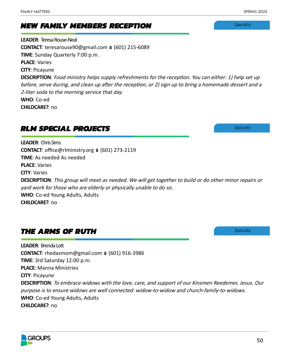# *NEW FAMILY MEMBERS RECEPTION*

**LEADER**: Teresa Rouse-Neal **CONTACT**: teresarouse90@gmail.com ■ (601) 215-6089 **TIME**: Sunday Quarterly 7:00 p.m. **PLACE**: Varies **CITY**: Picayune **DESCRIPTION**: Food ministry helps supply refreshments for the reception. You can either: 1) help set up before, serve during, and clean up after the reception, or 2) sign up to bring a homemade dessert and a 2-liter soda to the morning service that day. **WHO**: Co-ed **CHILDCARE?**: no

# *RLM SPECIAL PROJECTS*

**LEADER**: Chris Sims **CONTACT**: office@rlministry.org ■ (601) 273-2119 **TIME**: As needed As needed **PLACE**: Varies **CITY**: Varies **DESCRIPTION**: This group will meet as needed. We will get together to build or do other minor repairs or yard work for those who are elderly or physically unable to do so. **WHO**: Co-ed Young Adults, Adults **CHILDCARE?**: no

# *THE ARMS OF RUTH*

**LEADER**: Brenda Lott **CONTACT**: rhedasmom@gmail.com ■ (601) 916-3986 **TIME**: 3rd Saturday 12:00 p.m. **PLACE**: Manna Ministries **CITY**: Picayune **DESCRIPTION**: To embrace widows with the love, care, and support of our Kinsmen Reedemer, Jesus. Our purpose is to ensure widows are well connected: widow-to-widow and church-family-to-widows. **WHO**: Co-ed Young Adults, Adults **CHILDCARE?**: no

**Specialty** 

**Specialty** 

**Specialty** 

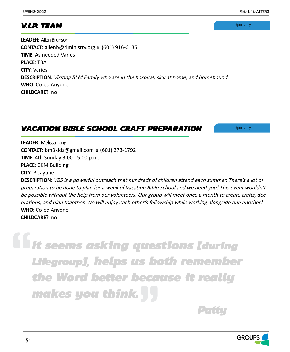# *V.I.P. TEAM*

**Specialty** 

**LEADER**: Allen Brunson **CONTACT**: allenb@rlministry.org ■ (601) 916-6135 **TIME**: As needed Varies **PLACE**: TBA **CITY**: Varies **DESCRIPTION**: Visiting RLM Family who are in the hospital, sick at home, and homebound. **WHO**: Co-ed Anyone **CHILDCARE?**: no

# *VACATION BIBLE SCHOOL CRAFT PREPARATION*

**Specialty** 

**LEADER**: Melissa Long **CONTACT**: bm3kidz@gmail.com ■ (601) 273-1792 **TIME**: 4th Sunday 3:00 - 5:00 p.m. **PLACE**: CKM Building **CITY**: Picayune

**DESCRIPTION**: VBS is a powerful outreach that hundreds of children attend each summer. There's a lot of preparation to be done to plan for a week of Vacation Bible School and we need you! This event wouldn't be possible without the help from our volunteers. Our group will meet once a month to create crafts, decorations, and plan together. We will enjoy each other's fellowship while working alongside one another! **WHO**: Co-ed Anyone **CHILDCARE?**: no

*It seems asking questions [during Lifegroup], helps us both remember the Word better because it really makes you think.*

*Patty Community Community Community Patty* 

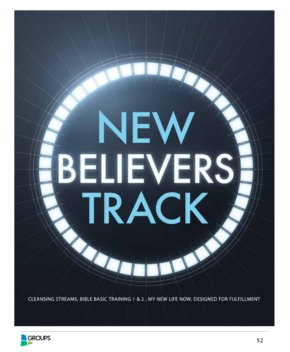# NEV **BELIEVERS TRACK**

CLEANSING STREAMS, BIBLE BASIC TRAINING 1 & 2 , MY NEW LIFE NOW, DESIGNED FOR FULFILLMENT

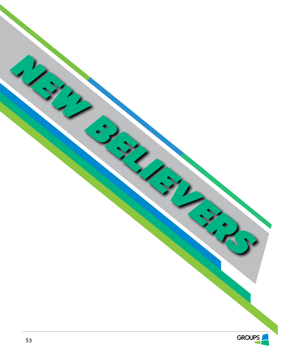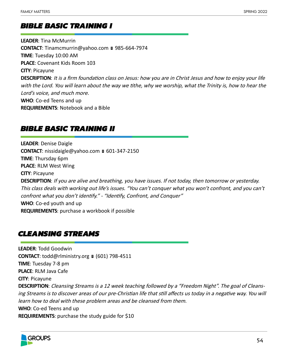# *BIBLE BASIC TRAINING I*

**LEADER**: Tina McMurrin **CONTACT:** Tinamcmurrin@yahoo.com ■ 985-664-7974 **TIME**: Tuesday 10:00 AM **PLACE**: Covenant Kids Room 103 **CITY**: Picayune **DESCRIPTION**: It is a firm foundation class on Jesus: how you are in Christ Jesus and how to enjoy your life with the Lord. You will learn about the way we tithe, why we worship, what the Trinity is, how to hear the Lord's voice, and much more. **WHO**: Co-ed Teens and up **REQUIREMENTS**: Notebook and a Bible

# *BIBLE BASIC TRAINING II*

**LEADER**: Denise Daigle **CONTACT**: nissidaigle@yahoo.com ■ 601-347-2150 **TIME**: Thursday 6pm **PLACE**: RLM West Wing **CITY**: Picayune **DESCRIPTION**: If you are alive and breathing, you have issues. If not today, then tomorrow or yesterday. This class deals with working out life's issues. "You can't conquer what you won't confront, and you can't confront what you don't identify." - "Identify, Confront, and Conquer" **WHO**: Co-ed youth and up **REQUIREMENTS**: purchase a workbook if possible

# *CLEANSING STREAMS*

**LEADER**: Todd Goodwin **CONTACT**: todd@rlministry.org ■ (601) 798-4511 **TIME**: Tuesday 7-8 pm **PLACE**: RLM Java Cafe **CITY**: Picayune **DESCRIPTION**: Cleansing Streams is a 12 week teaching followed by a "Freedom Night". The goal of Cleansing Streams is to discover areas of our pre-Christian life that still affects us today in a negative way. You will learn how to deal with these problem areas and be cleansed from them. **WHO**: Co-ed Teens and up **REQUIREMENTS**: purchase the study guide for \$10

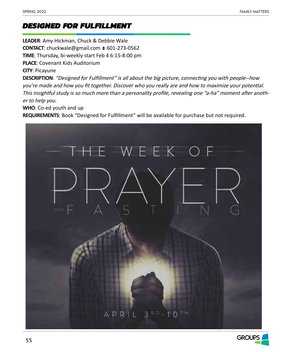# *DESIGNED FOR FULFILLMENT*

**LEADER**: Amy Hickman, Chuck & Debbie Wale **CONTACT**: chuckwale@gmail.com ■ 601-273-0562 **TIME**: Thursday, bi-weekly start Feb 4 6:15-8:00 pm **PLACE**: Covenant Kids Auditorium **CITY**: Picayune

**DESCRIPTION**: "Designed for Fulfillment" is all about the big picture, connecting you with people--how you're made and how you fit together. Discover who you really are and how to maximize your potential. This insightful study is so much more than a personality profile, revealing one "a-ha" moment after another to help you.

**WHO**: Co-ed youth and up

**REQUIREMENTS**: Book "Designed for Fulfillment" will be available for purchase but not required.